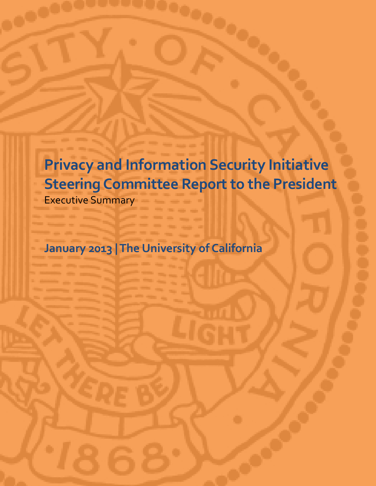**Privacy and Information Security Initiative Steering Committee Report to the President**

Executive Summary

**January 2013 | The University of California**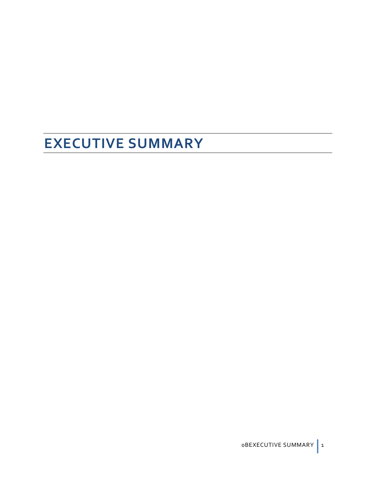# **EXECUTIVE SUMMARY**

0BEXECUTIVE SUMMARY 1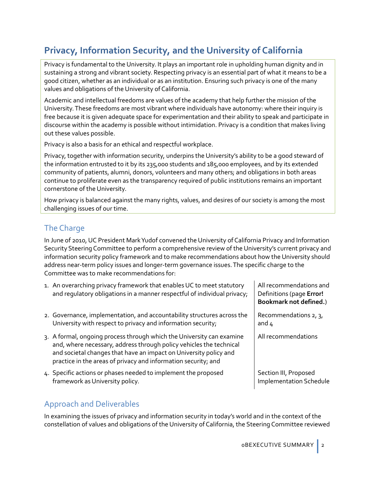# **Privacy, Information Security, and the University of California**

Privacy is fundamental to the University. It plays an important role in upholding human dignity and in sustaining a strong and vibrant society. Respecting privacy is an essential part of what it means to be a good citizen, whether as an individual or as an institution. Ensuring such privacy is one of the many values and obligations of the University of California.

Academic and intellectual freedoms are values of the academy that help further the mission of the University. These freedoms are most vibrant where individuals have autonomy: where their inquiry is free because it is given adequate space for experimentation and their ability to speak and participate in discourse within the academy is possible without intimidation. Privacy is a condition that makes living out these values possible.

Privacy is also a basis for an ethical and respectful workplace.

Privacy, together with information security, underpins the University's ability to be a good steward of the information entrusted to it by its 235,000 students and 185,000 employees, and by its extended community of patients, alumni, donors, volunteers and many others; and obligations in both areas continue to proliferate even as the transparency required of public institutions remains an important cornerstone of the University.

How privacy is balanced against the many rights, values, and desires of our society is among the most challenging issues of our time.

## The Charge

In June of 2010, UC President Mark Yudof convened the University of California Privacy and Information Security Steering Committee to perform a comprehensive review of the University's current privacy and information security policy framework and to make recommendations about how the University should address near-term policy issues and longer-term governance issues. The specific charge to the Committee was to make recommendations for:

- 1. An overarching privacy framework that enables UC to meet statutory and regulatory obligations in a manner respectful of individual privacy;
- 2. Governance, implementation, and accountability structures across the University with respect to privacy and information security;
- 3. A formal, ongoing process through which the University can examine and, where necessary, address through policy vehicles the technical and societal changes that have an impact on University policy and practice in the areas of privacy and information security; and
- 4. Specific actions or phases needed to implement the proposed framework as University policy.

## Approach and Deliverables

In examining the issues of privacy and information security in today's world and in the context of the constellation of values and obligations of the University of California, the Steering Committee reviewed

All recommendations and Definitions (page **Error! Bookmark not defined.**)

Recommendations 2, 3, and 4

All recommendations

Section III, Proposed Implementation Schedule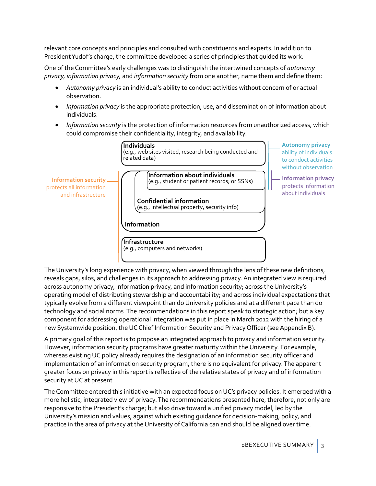relevant core concepts and principles and consulted with constituents and experts. In addition to President Yudof's charge, the committee developed a series of principles that guided its work.

One of the Committee's early challenges was to distinguish the intertwined concepts of *autonomy privacy, information privacy,* and *information security* from one another, name them and define them:

- *Autonomy privacy* is an individual's ability to conduct activities without concern of or actual observation.
- *Information privacy* is the appropriate protection, use, and dissemination of information about individuals.
- *Information security* is the protection of information resources from unauthorized access, which could compromise their confidentiality, integrity, and availability.



The University's long experience with privacy, when viewed through the lens of these new definitions, reveals gaps, silos, and challenges in its approach to addressing privacy. An integrated view is required across autonomy privacy, information privacy, and information security; across the University's operating model of distributing stewardship and accountability; and across individual expectations that typically evolve from a different viewpoint than do University policies and at a different pace than do technology and social norms. The recommendations in this report speak to strategic action; but a key component for addressing operational integration was put in place in March 2012 with the hiring of a new Systemwide position, the UC Chief Information Security and Privacy Officer (see Appendix B).

A primary goal of this report is to propose an integrated approach to privacy and information security. However, information security programs have greater maturity within the University. For example, whereas existing UC policy already requires the designation of an information security officer and implementation of an information security program, there is no equivalent for privacy. The apparent greater focus on privacy in this report is reflective of the relative states of privacy and of information security at UC at present.

The Committee entered this initiative with an expected focus on UC's privacy policies. It emerged with a more holistic, integrated view of privacy.The recommendations presented here, therefore, not only are responsive to the President's charge; but also drive toward a unified privacy model, led by the University's mission and values, against which existing guidance for decision-making, policy, and practice in the area of privacy at the University of California can and should be aligned over time.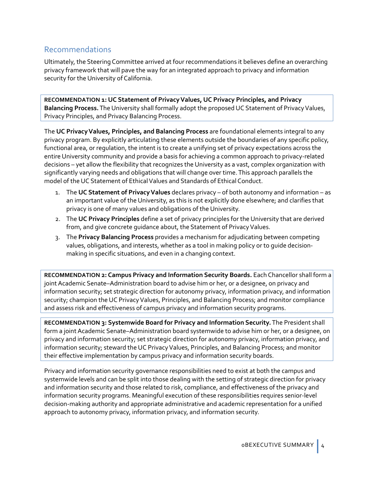### Recommendations

Ultimately, the Steering Committee arrived at four recommendations it believes define an overarching privacy framework that will pave the way for an integrated approach to privacy and information security for the University of California.

**RECOMMENDATION 1: UC Statement of Privacy Values, UC Privacy Principles, and Privacy**  Balancing Process. The University shall formally adopt the proposed UC Statement of Privacy Values, Privacy Principles, and Privacy Balancing Process.

The **UC Privacy Values, Principles, and Balancing Process** are foundational elements integral to any privacy program. By explicitly articulating these elements outside the boundaries of any specific policy, functional area, or regulation, the intent is to create a unifying set of privacy expectations across the entire University community and provide a basis for achieving a common approach to privacy-related decisions – yet allow the flexibility that recognizes the University as a vast, complex organization with significantly varying needs and obligations that will change over time.This approach parallels the model of the UC Statement of Ethical Values and Standards of Ethical Conduct.

- 1. The **UC Statement of Privacy Values** declares privacy of both autonomy and information as an important value of the University, as this is not explicitly done elsewhere; and clarifies that privacy is one of many values and obligations of the University.
- 2. The **UC Privacy Principles** define a set of privacy principles for the University that are derived from, and give concrete guidance about, the Statement of Privacy Values.
- 3. The **Privacy Balancing Process** provides a mechanism for adjudicating between competing values, obligations, and interests, whether as a tool in making policy or to guide decisionmaking in specific situations, and even in a changing context.

**RECOMMENDATION 2: Campus Privacy and Information Security Boards.** Each Chancellor shall form a joint Academic Senate–Administration board to advise him or her, or a designee, on privacy and information security; set strategic direction for autonomy privacy, information privacy, and information security; champion the UC Privacy Values, Principles, and Balancing Process; and monitor compliance and assess risk and effectiveness of campus privacy and information security programs.

**RECOMMENDATION 3: Systemwide Board for Privacy and Information Security.**The President shall form a joint Academic Senate–Administration board systemwide to advise him or her, or a designee, on privacy and information security; set strategic direction for autonomy privacy, information privacy, and information security; steward the UC Privacy Values, Principles, and Balancing Process; and monitor their effective implementation by campus privacy and information security boards.

Privacy and information security governance responsibilities need to exist at both the campus and systemwide levels and can be split into those dealing with the setting of strategic direction for privacy and information security and those related to risk, compliance, and effectiveness of the privacy and information security programs. Meaningful execution of these responsibilities requires senior-level decision-making authority and appropriate administrative and academic representation for a unified approach to autonomy privacy, information privacy, and information security.